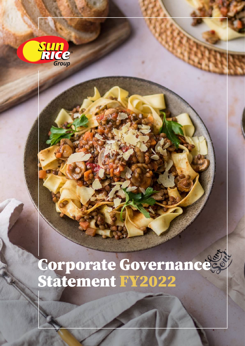

# Corporate Governance Statement FY2022

SunRice Corporate Governance Statement FY2022 | A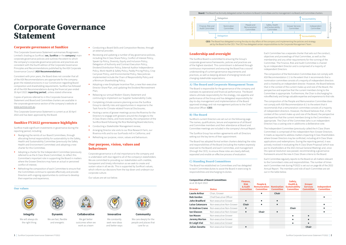# Corporate Governance Statement

# Corporate governance at SunRice

Consistent with prior years, the Board does not consider that all of the ASX Recommendations are appropriate for the company given the related provisions in our Constitution regarding Board composition and shareholding requirements. SunRice has followed all of the ASX Recommendations during the financial year ended 30 April 2022 (reporting period), unless stated otherwise.

This Corporate Governance Statement summarises Ricegrowers Limited's (trading as SunRice) (we, SunRice or the company) main corporate governance policies and outlines the extent to which the company's corporate governance policies and practices are consistent with the fourth edition of the Corporate Governance Principles and Recommendations published by the ASX Corporate Governance Council (ASX Recommendations).

Copies of policies referred to in this Corporate Governance Statement and Board and Committee charters are available in the corporate governance section of the company's website at [www.sunrice.com.au.](http://www.sunrice.com.au)

This Corporate Governance Statement is current as at 30 April 2022 and has been approved by the Board.

# SunRice FY2022 governance highlights

SunRice made significant investments in governance during the reporting period, including:

- • Realigning the remits of our Board Committees, through allocating formal responsibility for sustainability to the Safety, Health and Sustainability Committee (previously the Safety Health and Environment Committee) and adopting a new charter for this Committee;
- Adopting a charter for the Independent Committee (previously referred to as the A Class Share Committee), to reflect this Committee's important role in supporting the Board in matters where the Grower Directors may have an actual or perceived conflict of interest;
- Refreshing the composition of each Committee to ensure that the Committees continue to operate effectively and provide Directors with ongoing opportunities to continue to develop their expertise and experience;
- Conducting a Board Skills and Composition Review, through an external provider;
- Reviewing and updating a number of key governance policies, including the A Class Share Policy, Conflict of Interest Policy, Speak Up Policy, Diversity, Equity and Inclusion Policy, Delegation of Authority and Contract Execution Policy, Dividend Distribution Policy, External Auditor Independence Policy, Work Health & Safety Policy, Paddy Pricing Policy, Crop Carryover Policy, and Environmental Policy. New policies implemented include the Chain of Responsibility Policy and a Minimum Shareholding Policy;
- • Adopting a new Employee Incentive Plan, a new Non-executive Director Share Plan, and updating the Dividend Reinvestment Plan;
- • Releasing our annual Modern Slavery Statement and continuing to implement our Supplier Sustainability Code;
- • Completing climate scenario planning across the SunRice Group to identify risks and opportunities in response to the Task Force for Climate-related Financial Disclosures;
- • Hosting a series of grower meetings across the Riverina for the Directors to engage with growers around the changes to the A Class Share criteria, and more recently, the composition of the SunRice Board following the Rice Marketing Board elections;
- Conducting a Stakeholder Management review;
- • Arranging Director site visits to our Rice Research Farm, our Riverina mills and to our SunFoods mill in California; and
- Refreshing our purpose, vision, values and behaviours.

# Our purpose, vision, values and behaviours

Corporate governance is of vital importance to the company and is undertaken with due regard to all of the company's stakeholders. We are committed to providing our stakeholders with credible, transparent and timely information as we seek to create and sustain value in all we do. This is supported by SunRice's values, which inform our decisions from the top down and underpin our corporate culture.

Our values are set out below.

# Leadership and oversight

### A) The Board and Corporate Management Team

### B) The Board



## C) Standing Board Committees

| Accountability     | Finance, Risk and<br>Audit Committee                                                |               | Nomination<br>Committee                                                                                                                                                                                                                 | People and<br>Remuneration<br>Committee                                                                                                                                                                                                                                                                                                                                                                                                                                                                                                                                           |                              | Safety, Health<br>and Sustainability<br>Committee  | <b>Grower Services</b><br>Committee                                                                                                                                                                                                                                                                                                                                                                                                                                                                                                                        |                                                      | Delegation<br>Independent<br>Committee                                                                                                                                                                                                                                                                                                                                                                                                                                                                       |
|--------------------|-------------------------------------------------------------------------------------|---------------|-----------------------------------------------------------------------------------------------------------------------------------------------------------------------------------------------------------------------------------------|-----------------------------------------------------------------------------------------------------------------------------------------------------------------------------------------------------------------------------------------------------------------------------------------------------------------------------------------------------------------------------------------------------------------------------------------------------------------------------------------------------------------------------------------------------------------------------------|------------------------------|----------------------------------------------------|------------------------------------------------------------------------------------------------------------------------------------------------------------------------------------------------------------------------------------------------------------------------------------------------------------------------------------------------------------------------------------------------------------------------------------------------------------------------------------------------------------------------------------------------------------|------------------------------------------------------|--------------------------------------------------------------------------------------------------------------------------------------------------------------------------------------------------------------------------------------------------------------------------------------------------------------------------------------------------------------------------------------------------------------------------------------------------------------------------------------------------------------|
|                    |                                                                                     |               | <b>Delegation</b>                                                                                                                                                                                                                       |                                                                                                                                                                                                                                                                                                                                                                                                                                                                                                                                                                                   |                              |                                                    |                                                                                                                                                                                                                                                                                                                                                                                                                                                                                                                                                            | Accountability                                       |                                                                                                                                                                                                                                                                                                                                                                                                                                                                                                              |
|                    |                                                                                     |               |                                                                                                                                                                                                                                         | CEO: The Board has delegated running the day-to-day affairs of the company and implementing the policies and strategy<br>set by the Board to the CEO. The CEO has delegated certain responsibilities to the Corporate Management Team.                                                                                                                                                                                                                                                                                                                                            |                              |                                                    |                                                                                                                                                                                                                                                                                                                                                                                                                                                                                                                                                            |                                                      |                                                                                                                                                                                                                                                                                                                                                                                                                                                                                                              |
|                    | <b>Leadership and oversight</b><br>changing stakeholder expectations.               |               | The SunRice Board is committed to ensuring the Group's<br>understanding of current governance requirements and<br>practices, as well as keeping abreast of emerging trends and<br>day-to-day management and implementation of the Board | corporate governance frameworks, policies and practices are<br>of the highest standard. This commitment is delivered through<br>continuous improvement and ensuring the Board has a sound<br>A) The Board and Corporate Management Team<br>The Board is responsible for the governance of the company and<br>oversees its operational and financial performance. The Board<br>retains ultimate responsibility for the strategy, risk appetite and<br>performance of the Group and has delegated responsibility for<br>approved strategy and risk management policies to the Chief |                              | independent Directors.                             | Each Committee has a separate charter that sets out the conduct,<br>objectives and proceedings of that Committee, as well as the<br>membership and any other requirements for the running of the<br>Committee. The Finance, Risk and Audit Committee is chaired<br>by an independent Director and is comprised of a majority of<br>ASX Recommendation 2.1 to the extent that it recommends that a<br>perspective and expertise that the current members bring to the<br>not comply with ASX Recommendation 8.1 to the extent that it                       |                                                      | The composition of the Nomination Committee does not comply with<br>nomination committee consists of a majority of independent director<br>and is chaired by an independent director. However, the Board believ<br>that in the context of the current make-up and size of the Board, the<br>Committee is appropriate. Furthermore, the Chair is discharging his<br>role effectively and brings valuable expertise and experience to that ro<br>The composition of the People and Remuneration Committee does |
|                    | Executive Officer (CEO).<br><b>B)</b> The Board                                     |               | setting out the key terms of their appointment.                                                                                                                                                                                         | SunRice's current Directors are set out on the following page.<br>The names, qualifications, tenure and experience of all Board<br>and Committee members and their attendance at Board and<br>Committee meetings are included in the company's Annual Report.<br>The SunRice Group has written agreements with all Directors<br>The Board has adopted formal written charters detailing the roles<br>and responsibilities of the Board (including the matters expressly<br>reserved to the Board) and each Committee, and management                                              |                              |                                                    | recommends that a remuneration committee consists of a majority<br>of independent directors. However, the Board believes that, in the<br>and expertise that the current members bring to the Committee is<br>appropriate. The Chair of the Committee (who is an independent<br>Director) has a casting vote in additionto a deliberative vote.<br>The Independent Committee (previously called the A Class Share<br>applications and redemptions. During the reporting period, it was<br>put to shareholders at the 2021 Annual General Meeting) and, once |                                                      | context of the current make-up and size of the Board, the perspectiv<br>Committee) is comprised of the independent Non-Grower Directors<br>It meets as required to address matters impacting A Class Shareholde<br>where Grower Directors may be conflicted, including all A Class Share<br>actively involved in evaluating the A Class Share Proposal (which wa                                                                                                                                             |
|                    | <b>C) Standing Board Committees</b><br>responsibilities and discharging its duties. |               | (through the CEO), to ensure these roles are clearly defined,<br>separated and enable an effective process of evaluation.                                                                                                               | The Board has established six Committees and has delegated<br>to each Committee duties to assist the Board in exercising its                                                                                                                                                                                                                                                                                                                                                                                                                                                      |                              | out in the table below.                            | this special resolution was passed, recommending a governance<br>framework around the new A Class Share criteria to the Board.<br>to the Committee's roles and responsibilities. The number of times<br>Annual Report. The members and role of each Committee are set                                                                                                                                                                                                                                                                                      |                                                      | Each Committee regularly reports to the Board on all matters relevant<br>each Committee met during FY2022 is set out on page 66 of the 2022                                                                                                                                                                                                                                                                                                                                                                  |
| <b>Director</b>    | <b>Composition of Board Committees</b><br>as at 30 April 2022                       | <b>Status</b> |                                                                                                                                                                                                                                         | Finance,<br><b>Risk</b><br>& Audit<br><b>Committee</b>                                                                                                                                                                                                                                                                                                                                                                                                                                                                                                                            | People &<br><b>Committee</b> | <b>Remuneration Nomination</b><br><b>Committee</b> | Safety,<br><b>Health &amp;</b><br><b>Sustainability</b><br><b>Committee</b>                                                                                                                                                                                                                                                                                                                                                                                                                                                                                | <b>Grower</b><br><b>Services</b><br><b>Committee</b> | <b>Independent</b><br><b>Committee</b>                                                                                                                                                                                                                                                                                                                                                                                                                                                                       |
|                    | <b>Laurie Arthur</b>                                                                | Chair, Grower |                                                                                                                                                                                                                                         |                                                                                                                                                                                                                                                                                                                                                                                                                                                                                                                                                                                   | $\bullet$                    | <b>Chair</b>                                       |                                                                                                                                                                                                                                                                                                                                                                                                                                                                                                                                                            |                                                      |                                                                                                                                                                                                                                                                                                                                                                                                                                                                                                              |
|                    | <b>Rob Gordon</b>                                                                   |               | Chief Executive Officer                                                                                                                                                                                                                 |                                                                                                                                                                                                                                                                                                                                                                                                                                                                                                                                                                                   |                              |                                                    |                                                                                                                                                                                                                                                                                                                                                                                                                                                                                                                                                            |                                                      | $\bullet$                                                                                                                                                                                                                                                                                                                                                                                                                                                                                                    |
|                    | <b>John Bradford</b>                                                                |               | Non-executive Grower                                                                                                                                                                                                                    | $\bullet$                                                                                                                                                                                                                                                                                                                                                                                                                                                                                                                                                                         | $\bullet$                    | $\bullet$                                          |                                                                                                                                                                                                                                                                                                                                                                                                                                                                                                                                                            |                                                      |                                                                                                                                                                                                                                                                                                                                                                                                                                                                                                              |
|                    | Luisa Catanzaro                                                                     |               | Non-executive Non-Grower                                                                                                                                                                                                                | Chair                                                                                                                                                                                                                                                                                                                                                                                                                                                                                                                                                                             | $\bullet$                    | $\bullet$                                          |                                                                                                                                                                                                                                                                                                                                                                                                                                                                                                                                                            |                                                      | $\bullet$                                                                                                                                                                                                                                                                                                                                                                                                                                                                                                    |
|                    | <b>Dr Andrew Crane</b>                                                              |               | Non-executive Non-Grower                                                                                                                                                                                                                | $\bullet$                                                                                                                                                                                                                                                                                                                                                                                                                                                                                                                                                                         |                              |                                                    | Chair                                                                                                                                                                                                                                                                                                                                                                                                                                                                                                                                                      |                                                      | $\bullet$                                                                                                                                                                                                                                                                                                                                                                                                                                                                                                    |
| <b>Ian Glasson</b> |                                                                                     |               | Non-executive Non-Grower                                                                                                                                                                                                                | $\bullet$                                                                                                                                                                                                                                                                                                                                                                                                                                                                                                                                                                         | <b>Chair</b>                 | $\bullet$                                          |                                                                                                                                                                                                                                                                                                                                                                                                                                                                                                                                                            |                                                      | $\bullet$                                                                                                                                                                                                                                                                                                                                                                                                                                                                                                    |
| <b>Ian Mason</b>   |                                                                                     |               | Non-executive Grower                                                                                                                                                                                                                    |                                                                                                                                                                                                                                                                                                                                                                                                                                                                                                                                                                                   |                              |                                                    | $\bullet$                                                                                                                                                                                                                                                                                                                                                                                                                                                                                                                                                  | $\bullet$                                            |                                                                                                                                                                                                                                                                                                                                                                                                                                                                                                              |
|                    | <b>Jeremy Morton</b>                                                                |               | Non-executive Grower                                                                                                                                                                                                                    |                                                                                                                                                                                                                                                                                                                                                                                                                                                                                                                                                                                   |                              |                                                    | $\bullet$                                                                                                                                                                                                                                                                                                                                                                                                                                                                                                                                                  |                                                      |                                                                                                                                                                                                                                                                                                                                                                                                                                                                                                              |
|                    | <b>Dr Leigh Vial</b>                                                                |               | Non-executive Grower                                                                                                                                                                                                                    |                                                                                                                                                                                                                                                                                                                                                                                                                                                                                                                                                                                   |                              |                                                    | $\bullet$                                                                                                                                                                                                                                                                                                                                                                                                                                                                                                                                                  |                                                      |                                                                                                                                                                                                                                                                                                                                                                                                                                                                                                              |
|                    | Julian Zanatta                                                                      |               | Non-executive Grower                                                                                                                                                                                                                    | $\bullet$                                                                                                                                                                                                                                                                                                                                                                                                                                                                                                                                                                         |                              |                                                    |                                                                                                                                                                                                                                                                                                                                                                                                                                                                                                                                                            | Chair                                                |                                                                                                                                                                                                                                                                                                                                                                                                                                                                                                              |
|                    |                                                                                     |               |                                                                                                                                                                                                                                         |                                                                                                                                                                                                                                                                                                                                                                                                                                                                                                                                                                                   |                              |                                                    |                                                                                                                                                                                                                                                                                                                                                                                                                                                                                                                                                            |                                                      |                                                                                                                                                                                                                                                                                                                                                                                                                                                                                                              |

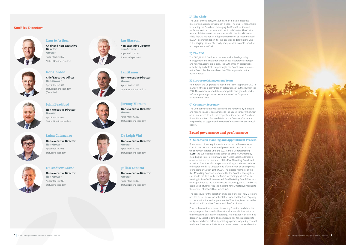Ian Glasson

Non-executive Director

Non-Grower Appointed in 2016 Status: Independent

# Laurie Arthur

Chair and Non-executive **Director** Grower Appointed in 2007 Status: Non-independent



# Rob Gordon

Chief Executive Officer Non-Grower Appointed in 2012 Status: Non-independent (Executive)



# John Bradford

Non-executive Director Grower Appointed in 2015 Status: Non-independent









Luisa Catanzaro



# Non-executive Director Non-Grower Appointed in 2018

Status: Independent

Dr Andrew Crane Non-executive Director Non-Grower Appointed in 2018 Status: Independent

Ian Mason

Non-executive Director

Grower

Appointed in 2018 Status: Non-independent

Jeremy Morton

Non-executive Director

Grower

Appointed in 2019 Status: Non-independent

Dr Leigh Vial

Non-executive Director

Grower

Appointed in 2015 Status: Non-independent

# Julian Zanatta

Non-executive Director Grower Appointed in 2019 Status: Non-independent

# SunRice Directors



### D) The Chair

The Chair of the Board, Mr Laurie Arthur, is a Non-executive Director and a resident Australian citizen. The Chair is responsible for leading the Board and managing the Board function and performance in accordance with the Board Charter. The Chair's responsibilities are set out in more detail in the Board Charter. While the Chair is not an independent Director as recommended by ASX Recommendation 2.5, the Board considers that the Chair is discharging his role effectively and provides valuable expertise and experience as Chair.

### E) The CEO

The CEO, Mr Rob Gordon, is responsible for the day-to-day management and implementation of Board approved strategy and risk management policies. The CEO, through delegations of authority and effective reporting to the Board, is accountable to the Board. Further details on the CEO are provided in the Board Charter.

### F) Corporate Management Team

Members of the Corporate Management Team support the CEO in managing the company through delegations of authority from the CEO. The company undertakes appropriate background checks before appointing a person as a member of the Corporate Management Team.



### G) Company Secretary

The Company Secretary is appointed and removed by the Board and reports to and is accountable to the Board, through the Chair, on all matters to do with the proper functioning of the Board and Board Committees. Further details on the Company Secretary are provided on page 70 of the Directors' Report within our Annual Report.

## Board governance and performance

#### A) Succession Planning and Appointment Process

Board composition requirements are set out in the company's Constitution. Under transitional provisions in the Constitution which remain in force until the 2023 Annual General Meeting (AGM), the SunRice Board is to comprise of up to 10 Directors, including up to six Directors who are A Class shareholders (two of whom are elected members of the Rice Marketing Board) and up to four Directors who are persons with appropriate experience to be appointed as a Director (one of whom may be an employee of the company, such as the CEO). The elected members of the Rice Marketing Board are appointed to the Board following their election to the Rice Marketing Board. Accordingly, at a General Meeting in June 2022, two elected Rice Marketing Board Directors were appointed to the SunRice Board. Following the 2023 AGM, the Board will be further reduced in size to nine Directors, by reducing the number of Grower Directors to five.

The procedure for the selection and appointment of new Directors and the re-election of incumbent Directors, and the Board's policy for the nomination and appointment of Directors, is set out in the Nomination Committee Charter and the Constitution.

Prior to the election or re-election of any Director candidate, the company provides shareholders with all material information in the company's possession that is required to support an informed decision by shareholders. The company undertakes appropriate background checks before appointing a person, or putting forward to shareholders a candidate for election or re-election, as a Director.

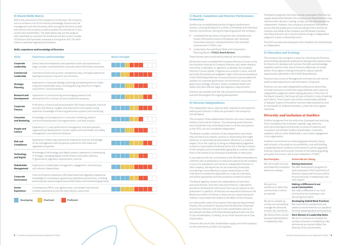### B) Board Skills Matrix

Within the constraints of the company's Constitution, the company aims to achieve a mix of rice industry knowledge, finance and risk management and other business skills among the Directors to lead and monitor the company as well as protect the interests of A Class and B Class shareholders. The table below sets out the range of skills identified as important for the Board and the current number of Directors that have been assessed as having that skill. The skills matrix is refreshed regularly by the Board.

- completed the key items arising from the comprehensive review of the performance of the Board, each standing Committee and each individual Director, that had been commenced in FY2021; and
- conducted a focused Board Skills and Composition Planning Review (FY2022 Board Review).

### Skills, experience and knowledge of Directors

C) Board, Committee and Director Performance Evaluation

SunRice has an established practice of regular performance reviews, covering the Board as a whole, Committees and individual Director contributions. During the reporting period, the company:

These reviews were conducted by external service providers.

All Directors have completed the Company Directors Course run by the Australian Institute of Company Directors and, where relevant, have either undertaken, or agreed to undertake, the Company Directors Course Update. Programs are currently in place, and will be further formalised and targeted in light of the recommendations of the FY2022 Board Review, to ensure Directors are provided with updates on corporate governance, environmental, social and governance strategy, directors' duties, workplace health and safety and other relevant legal and regulatory requirements.

Directors are satisfied with the role and performance of the Board, and with the program for ongoing development.

### D) Director Independence

The independent status, relevant skills, experience and expertise held by each Director in office are provided in the company's Annual Report.

The company's three independent Directors are Luisa Catanzaro, Andrew Crane and Ian Glasson. The remaining seven Directors, who include the Chair of the Board (who is not the same person as the CEO), are not considered independent.

The Board considers a Director to be independent only where they are free of any interest, position or relationship that might influence, or reasonably be perceived to influence in a material respect, his or her capacity to bring an independent judgement to bear on issues before the Board and to act in the best interests of the company and its shareholders generally as a whole, rather than in the interest of an individual shareholder or other party.

In accordance with the commentary to the ASX Recommendations, a Director who is employed in an executive capacity by the company or any of its subsidiaries will not be an independent Director. In other respects, the Board has not set materiality thresholds, considering it more effective to assess relationships on the individual circumstances applicable on a case-by-case basis, and where appropriate with the assistance of external advice.

The Board regularly reviews the independence of each Nonexecutive Director. Each Non-executive Director is required to provide to the Board all information that may be relevant to this assessment. In addition, all Directors are required to disclose to the Board any conflict of interest or duty and any material personal interest in any matter that relates to the affairs of the company.

As noted earlier under A) Succession Planning and Appointment Process, the Constitution requires that the Board be comprised of up to four Directors who are A Class shareholders and up to two elected members of the Rice Marketing Board (who are also A Class shareholders). Currently, six out of ten Directors are A Class shareholders.

Directors who are A Class shareholders supply rice to the company on the same terms as other rice suppliers.

The Board recognises that there may be a perception that the rice supply relationship between the company and these Directors may influence their decision-making, so they are not characterised as independent. However, the company's procedures and systems ensure that the paddy price is set according to the commercial interests and needs of the company and the Board considers that these Directors are in practice able to bring an independent judgment to bear on Board decisions.

The CEO is an executive employee and is therefore not characterised as independent.

### E) Education and Training

The company has a program in place for inducting new Directors and providing appropriate professional development opportunities for Directors to develop and maintain the skills and knowledge needed to perform their role as Directors effectively. As noted earlier, this program is being enhanced to capture specific opportunities identified in the FY2022 Board Review.

Directors have access to Management and external and internal audit to seek explanations and information, if required.

Directors can also seek independent professional advice they consider necessary to fulfil their responsibilities and to exercise independent judgement when making decisions. If the Chair of the Board consents, the Group will pay a Director's costs of seeking such advice. That consent may not be unreasonably withheld or delayed. Copies of the advice must be made available to, and for the benefit of, all Board members, unless the Chair agrees otherwise.

# Diversity and inclusion at SunRice

SunRice recognises that the wide array of perspectives resulting from a workplace that is diverse in gender, age, ethnicity, and cultural background promotes a culture of creativity and innovation and benefits SunRice shareholders, customers, suppliers, and our other stakeholders, and creates engagement in our organisation.

SunRice's commitment to achieving greater Diversity, Equity and Inclusion is focussed on accountability, trust and building a respected brand. SunRice's commitment to achieving greater Diversity, Equity and Inclusion consists of the following guiding principles and actions, which were refreshed in FY2022:

| <b>Our Principles</b>                                                                               | <b>Actions We Are Taking</b>                                                                                                                                                                             |
|-----------------------------------------------------------------------------------------------------|----------------------------------------------------------------------------------------------------------------------------------------------------------------------------------------------------------|
| We role model inclusive<br>and respectful workplace<br>behaviours always                            | <b>Raising Awareness</b><br>We offer development programs to<br>raise awareness of the importance of<br>Diversity, Equity and Inclusion and to<br>ensure everyone is treated fairly and<br>with respect. |
| We want our<br>workforce to reflect the<br>communities in which<br>we operate                       | Making a Difference in our<br><b>Local Communities</b><br>We make a difference in our local<br>communities by investing in and<br>recruiting local talent.                                               |
| We set our people up<br>so they can successfully<br>manage the demands<br>of work, life, and family | <b>Developing Hybrid Work Practices</b><br>We maximise our productivity and<br>create an environment for our people to<br>thrive by adopting hybrid work practices.                                      |
| We believe there should<br>be equal representation<br>in leadership roles                           | <b>More Women in Leadership Roles</b><br>We aim to continue to increase the<br>number of women in leadership roles<br>and ensure our women reflect the<br>diversity of our communities.                  |

| <b>Skills</b>                             | <b>Experience and knowledge</b>                                                                                                                                                                                                        | <b>Board strength</b> |
|-------------------------------------------|----------------------------------------------------------------------------------------------------------------------------------------------------------------------------------------------------------------------------------------|-----------------------|
| Corporate<br>Leadership                   | Senior executive leadership and operations skills and experience in<br>large, complex, and distributed corporate and/or ASX-listed companies.                                                                                          |                       |
| Commercial<br>Leadership                  | Commercial skills and acumen, entrepreneurship, and agile experience<br>leading businesses in dynamic environments.                                                                                                                    |                       |
| <b>Strategic</b><br><b>Planning</b>       | Experience in corporate strategic planning and development to create<br>long term shareholder value, including deriving value from mergers,<br>acquisitions, and partnerships.                                                         |                       |
| <b>Research and</b><br><b>Development</b> | Experience in commissioning and managing research and<br>development for commercial and competitive purposes.                                                                                                                          |                       |
| Corporate<br><b>Finance</b>               | Proficiency in finance and accounting for ASX-listed companies, financial<br>acumen and literacy, mergers and acquisitions and capital raising<br>expertise, knowledge of financial governance systems and monitoring.                 |                       |
| Consumer<br>and Marketing                 | Knowledge of and experience in consumer marketing, product<br>and brand development and segmentation, and data analysis.                                                                                                               |                       |
| <b>People and</b><br><b>Culture</b>       | Experience in C-suite performance management and remuneration,<br>organisational development, human capital and work health and safety<br>management, and industrial relations.                                                        |                       |
| <b>Risk and</b><br>Compliance             | Experience in balancing commercial imperatives and risk, knowledge<br>of risk management and compliance systems for ASX-listed and<br>regulated companies.                                                                             |                       |
| <b>Technology</b><br>and Digital          | Knowledge of technology and digital systems, experience in developing<br>IT strategy, managing digital transformation and system delivery,<br>IT governance, regulatory requirements, and risk.                                        |                       |
| <b>Stakeholder</b><br><b>Management</b>   | Experience in stakeholder management, engagement, and advocacy<br>with relevant stakeholders.                                                                                                                                          |                       |
| Corporate<br>Governance                   | Chair and Director experience, ASX-listed board and regulatory experience,<br>knowledge of contemporary governance standards and practices, including<br>environmental, social and governance (ESG) factors and investment governance. |                       |
| <b>Sector</b><br><b>Experience</b>        | Contemporary FMCG, rice, agribusiness, and related international<br>markets experience across the food industry value chain.                                                                                                           |                       |

Developing **Practiced** Proficient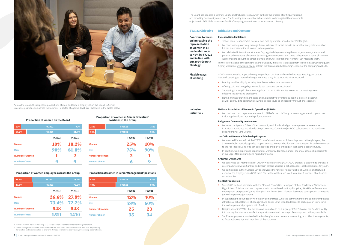| 10%                    | <b>FY2022</b> | 90%    |
|------------------------|---------------|--------|
| 18.2%                  | <b>FY2021</b> | 81.8%  |
|                        | <b>FY2022</b> | FY2021 |
| <b>Women</b>           | <b>10%</b>    | 18.2%  |
| <b>Men</b>             | 90%           | 81.8%  |
| <b>Number of women</b> |               | 2      |
| <b>Number of men</b>   | g             |        |

#### Proportion ofwomen on the Board

### Proportion ofwomen employees across the Group

### Proportion of women in Senior Executive $1$ positions in the Group

| 26.6%                  | <b>FY2022</b> | 73.4%  |  |
|------------------------|---------------|--------|--|
| 27.8%                  | <b>FY2021</b> | 72.2%  |  |
|                        | <b>FY2022</b> | FY2021 |  |
| <b>Women</b>           | 26.6%         | 27.8%  |  |
| <b>Men</b>             | 73.4%         | 72.2%  |  |
| <b>Number of women</b> | 548           | 543    |  |
| <b>Number of men</b>   | 1511          | 1410   |  |

| 25%                    | <b>FY2022</b> | 75%           |
|------------------------|---------------|---------------|
| 10%                    | <b>FY2021</b> | 90%           |
|                        | <b>FY2022</b> | <b>FY2021</b> |
| Women                  | 25%           | 10%           |
| <b>Men</b>             | 75%           | 90%           |
| <b>Number of women</b> | $\bf{2}$      |               |
| <b>Number of men</b>   | h             | 9             |
|                        |               |               |

### Proportion of women in Senior Management<sup>2</sup> positions

| 42%                    | <b>FY2022</b> | 58%           |
|------------------------|---------------|---------------|
| 40%                    | <b>FY2021</b> | 60%           |
|                        | <b>FY2022</b> | <b>FY2021</b> |
| Women                  | 42%           | 40%           |
| <b>Men</b>             | 58%           | 60%           |
| <b>Number of women</b> | 25            | 23            |
| <b>Number of men</b>   | 35            | 34            |
|                        |               |               |

1. Senior Executive includes the Group CEO and other members of the Corporate Management Team.

2. Senior Management includes Senior Executives and their direct and indirect reports, who have responsibility for creation andimplementation of long term strategy, autonomy to operate and/or leadership responsibilities.

- 
- We continue to proactively manage the recruitment of vacant roles to ensure that every interview short list has a representation of women, where possible.
- • We celebrated International Women's Day, a global day celebrating the social, economic, cultural and political achievements of women, by inviting everyone across the Group to hear from a panel of SunRice women talking about their career journeys and what International Womens' Day means to them.

- Further information on the company's Gender Equality Indicators is available from the Workplace Gender Equality Agency website at [www.wgea.gov.au](http://www.wgea.gov.au) or from the 'Sustainability Reporting' section of the company's website.
	-



Across the Group, the respective proportions of male and female employees on the Board, in Senior Executive positions and across the business (reported at a global level) are illustrated in the tables below.

# FY2022 Objective Initiatives and Outcome

### **Increased Gender Balance**

- Leaning into flexibility by working from home to keep our people safe.
- Offering paid wellbeing days to enable our people to get vaccinated.
	- Shortening the length of our meetings from 1-hour to 45-minutes to ensure our meetings were effective, inclusive and productive.
	-

Continue to focus on increasing the representation of women in all leadership roles to 40% by FY2022 and in line with our 2024 Growth

Strategy

• We continued our membership of GOO in Western Riverina (NSW). GOO provides a platform to showcase career pathways within SunRice and inform careers advisors in schools about local possibilities for youth. • We participated in their Careers Day to showcase the range of roles available at SunRice, and featured as one of the employers in a GOO video. This video will be used to educate Year 9 students about career

Flexible ways ofworking

> • Since 2018 we have partnered with the Clontarf Foundation in support of their Academy at Narrandera High School. This foundation's purpose is to improve the education, discipline, life skills, self-esteem and employment prospects of young Aboriginal and Torres Strait Islander descent to participate in traineeship

COVID-19 continued to impact the way we go about our lives and run the business. Keeping our culture intact while facing so many challenges remained a key focus. Our initiatives included:

• In supporting the Foundation we not only demonstrate SunRice's commitment to the community but also attract male school leavers of Aboriginal and Torres Strait Islander descent to participate in traineeship

• Despite periodic COVID-19 restrictions we were able to host a group of Year 9 boys at the SunRice facility, introducing them to our manufacturing environment and the range of employment pathways available. • SunRice employees also attended the Academy's annual presentation evening, and other training events,

• Running virtual "Staying Connected and Collaborative" events to support families in lockdown as well as providing opportunities where people could be engaged by motivational speakers.

### Inclusion initiatives

### National Association of Women In Operations (NAWO)

• We continued our corporate membership of NAWO, the chief body representing women in operations

# including the offer of mentorships for our women.

### Indigenous Community Involvement

• We joined Indigenous Elders of the community and SunRice Indigenous employee representatives in National Aborigines and Islanders Day Observance Committee (NAIDOC) celebrations at the Deniliquin

Local Aboriginal Land Council.

### Jan Cathcart Memorial Scholarship Program

- • We awarded Rebecca Groat the FY2022 Jan Cathcart Memorial Scholarship. Now in its eighth year, the \$30,000 scholarship is designed to support talented women who demonstrate a passion for and commitment to the rice industry, and who can contribute to and play a critical part in shaping a positive future.
- In addition, work experience opportunities were provided for a number of annual scholarship recipients in our Legal, Manufacturing and Agriculture teams.

### GrowOurOwn (GOO)

- 
- opportunities.

### Clontarf Foundation

- (or work experience) programs.
- (or work experience) programs with SunRice.
- 
- to foster relationships with members of the Academy.

The Board has adopted a Diversity Equity and Inclusion Policy, which outlines the process of setting, evaluating and reporting on diversity objectives. The following assessment of achievements to date against the measurable

• 42% of Senior Management roles are now held by women, ahead of our FY2022 goal.

# objectives in FY2022 demonstrates SunRice's ongoing commitment to inclusion and diversity.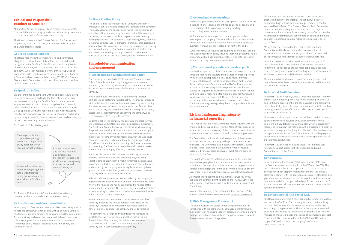# Ethical and responsible conduct at SunRice

All Directors, Senior Management and employees are expected to act with the utmost integrity and objectivity, striving to enhance the reputation and performance of the company.

The Board has an approved Code of Conduct for Directors and employees, as well as Speak Up, Anti-Bribery and Corruption and Share Trading Policies.

### A) Group Code of Conduct

The Board recognises the company's legal and commercial obligations to all legitimate stakeholders, and this is formally recognised in the SunRice Code of Conduct, which applies to all Board members, officers, employees and contractors of the company. SunRice completed a review of the Group Code of Conduct in FY2021, and associated training on the new Code on a Group-wide basis was completed during FY2022. Our Finance, Risk and Audit Committee is informed of any material breaches of the Code of Conduct.

### B) Speak Up Policy

We are committed to complying with all applicable laws, strong corporate governance and high standards of conduct across our business, including the SunRice Group's interactions with employees, contractors, customers, suppliers, the community, other stakeholders and the environment in which the SunRice Group operates. During the reporting period, we continued to monitor the effectiveness of our Speak Up reporting mechanism by improving accessibility for overseas employees and encouraging its use to report on any modern slavery risks.

Our Speak Up Policy is designed to:

Our Finance, Risk and Audit Committee is informed of any material incidents reported under the Speak Up Policy.

### C) Anti-Bribery and Corruption Policy

An integral part of our business culture is to behave in a responsible, honest and ethical way when dealing with all of our stakeholders (customers, suppliers, employees, consumers and the community). Our anti-bribery and corruption framework is based on a 'zero tolerance' approach. Our Finance, Risk and Audit Committee is informed of any material breaches of the Anti-Bribery and Corruption Policy.

### D) Share Trading Policy

The Share Trading Policy applies to all Directors, executives, employees, consultants and professional advisers of the company. The policy specifies the periods during which the Directors and executives of the company may purchase and sell the company's securities, and sets out a notification procedure concerning trading by Directors. The company's Share Trading Policy prohibits Directors and executives from trading in financial products issued or created over the company's securities by third parties, or trading in associated products. The Policy also prohibits Directors and executives from entering into any transaction that operates to limit the economic risk of their security holding in the company.

Encourage, protect and support the reporting of misconduct, irregularities or any other behaviour which is corrupt or illegal;<br>
Establish a transparent

## Shareholder communication and engagement

### A) Disclosure and Communications Policy

The company has adopted a Disclosure and Communications Policy. This policy outlines corporate governance measures adopted by the company to deliver on our commitments to the disclosure and communication of information concerning the company.

We are committed to the objective of promoting investor confidence and protecting investor rights. This means complying with continuous disclosure obligations imposed by law; ensuring that company announcements are presented in a factual, clear and balanced way; ensuring that investors have equal and timely access to material information concerning the company, and communicating effectively with investors.

Under this policy, the company has approved the establishment of a Disclosure Committee to manage its disclosure obligations. The Disclosure Committee's responsibilities include assessing the possible materiality of information which is potentially price sensitive, making decisions on information to be disclosed to the market, referring any announcements which the Disclosure Committee considers to be a matter of key significance to the Board for consideration, and monitoring disclosure processes and reporting. The Board receives copies of all material market announcements promptly after they have been made.

SunRice's Disclosure and Communications Policy promotes effective communication with all stakeholders, including shareholders, to assist them in making informed decisions and to encourage effective participation. Communication initiatives undertaken by the company include regular business updates, grower and investor briefings, media announcements, and the company website at [www.sunrice.com.au](http://www.sunrice.com.au).

Relevant information released to the market by the company is posted on the company's website after the information has been given to the ASX and the ASX has confirmed the release of this information to the market. This includes any new and substantive investor or analyst presentations, which are released on the ASX before the presentation is delivered.

Recent company announcements, media releases, details of company meetings and annual reports are available on the company's website. The company's website also provides general information about the company and its governance.

The company has a range of investor relations strategies to facilitate effective two-way communication with investors. Shareholders of the company have the option to receive communications from, and send communications to, the company and its security registry electronically.



report a wrongdoing from detrimental treatment by any person internal or external to the SunRice Group.

### B) General and class meetings

We encourage our shareholders to participate at general and class meetings. All shareholders are entitled to attend all general and class meetings of the company, including meetings at which they are not entitled to vote.

All Board members are expected to attend general and class meetings of the company. The external auditor also attends the company's Annual General Meetings and is available to answer questions from A Class shareholders relevant to the audit.

SunRice conducts voting on all substantive resolutions at general and class meetings on a poll, ensuring that voting outcomes reflect proportionate holdings of all shareholders who vote (whether in person or by proxy or other representative).

### C) Verification of periodic corporate reports

SunRice has a process in place that is designed to ensure periodic corporate reports are accurate and balanced in order to provide investors with appropriate information to make informed investment decisions. The Remuneration Report and Financial Report in the Annual Report are audited by SunRice's external auditor. In addition, any periodic corporate reports that are not audited or subject to review by the auditor are internally verified by the individual responsible for the relevant content, including by reference to source material. The executive responsible for the relevant area also reviews and approves the content. Confirmations are given regarding the accuracy and completeness of the information.

# Risk and safeguarding integrity in financial reporting

The Finance, Risk and Audit Committee meets regularly with the internal and external auditors, without Management present, to review the scope and adequacy of their work and to consider the implementation of recommendations from the audit processes.

The Committee conducts a formal assessment of the external auditor's performance annually and reports the outcome to the Board. The Committee also meets with the external auditor to discuss audit planning matters, statutory reporting and, as required, for any special reviews or investigations deemed necessary by the Board.

The Board has resolved that it is appropriate for the audit firm to provide ongoing taxation compliance and advisory services in addition to its normal audit function. As a broad guideline it is considered inappropriate for the audit firm to be involved in any assignment which would impair its professional independence.

A comprehensive policy dealing with this area was reviewed, updated and approved by the Board during FY2022. Adherence to the policy is closely monitored by the Finance, Risk and Audit Committee.

A copy of the company's External Auditor Independence Policy is available on the company's website at [www.sunrice.com.au.](http://www.sunrice.com.au)

### A) Risk Management Framework

The Board oversees the establishment, implementation and compliance with the company's risk management framework, the objectives of which is to identify, assess, monitor and manage strategic, operational, financial and compliance risks in line with the company's defined risk appetite.

The Finance, Risk and Audit Committee assists the Board in discharging its risk oversight role. The conduct, objectives and proceedings of this Committee are governed by a charter, approved by the Board. The Finance, Risk and Audit Committee conducts periodic and regular reviews of the company's risk management framework at least annually to satisfy itself that the risk management framework continues to be sound and that the company is operating with due regard to the risk appetite set by the Board.

Management has reported to the Finance, Risk and Audit Committee and the Board on the effectiveness of the risk management and internal control system during the year, and of the company's management of its material business risks.

The company has established a well-documented system of internal controls that take account of key business exposures. The system is designed to provide reasonable assurance that assets are safeguarded, proper accounting records are maintained and financial information is timely and reliable.

The company has implemented insurance arrangements and regularly evaluates the economic balance between self-insurance of risks and risk transfer.

### B) Internal Audit Function

The internal audit function, which is wholly independent from the external audit function, plays a key role in providing an objective and continuing assessment of the effectiveness of the company's internal control systems. It ensures information is reliable and has integrity, operations are efficient and effective, and policies and regulations are adhered to.

The internal audit function carries out risk-based audits on matters approved by the Finance, Risk and Audit Committee. Those audits are initially defined in an annual plan which is periodically reassessed throughout the year to ensure topics remain relevant to known and emerging risks. If required, the audit plan is adjusted to incorporate new activities. The Committee monitors the program and reviews internal audit reports and assess the performance of the internal audit function.

The internal audit function is outsourced. The internal audit function has direct access to the Finance, Risk and Audit Committee, and to the Board.

## C) Assurance

Before approving the company's full year financial statements, the Board receives a declaration from the CEO and the CFO. The declaration states that in their opinion, the financial records of SunRice have been properly maintained, and that the financial statements comply with the appropriate accounting standards and give a true and fair view of the financial position and performance of SunRice, and that the opinion has been formed on the basis of a sound system of risk management and internal control which is operating effectively.

### D) Environmental And Social Risk

The Board and management have identified a number of risks that are relevant to SunRice. The company's approach to identifying risks and the key risks and responses are included in the 2022 Annual Report on pages 48–53. This includes any environmental and social risks related to SunRice and an explanation of how we manage or intend to manage those risks. The company's approach to sustainability is also included in the 2022 Annual Report on pages 30–47 and on the on the company's website at [www.sunrice.com.au](http://www.sunrice.com.au).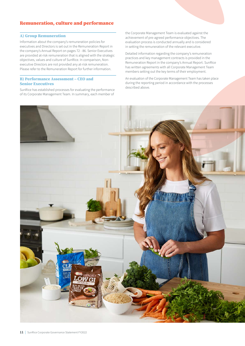# Remuneration, culture and performance

### A) Group Remuneration

Information about the company's remuneration policies for executives and Directors is set out in the Remuneration Report in the company's Annual Report on pages 72 - 86. Senior Executives are provided at-risk remuneration that is aligned with the strategic objectives, values and culture of SunRice. In comparison, Nonexecutive Directors are not provided any at-risk remuneration. Please refer to the Remuneration Report for further information.

### B) Performance Assessment – CEO and Senior Executives

SunRice has established processes for evaluating the performance of its Corporate Management Team. In summary, each member of the Corporate Management Team is evaluated against the achievement of pre-agreed performance objectives. The evaluation process is conducted annually and is considered in setting the remuneration of the relevant executive.

Detailed information regarding the company's remuneration practices and key management contracts is provided in the Remuneration Report in the company's Annual Report. SunRice has written agreements with all Corporate Management Team members setting out the key terms of their employment.

An evaluation of the Corporate Management Team has taken place during the reporting period in accordance with the processes described above.